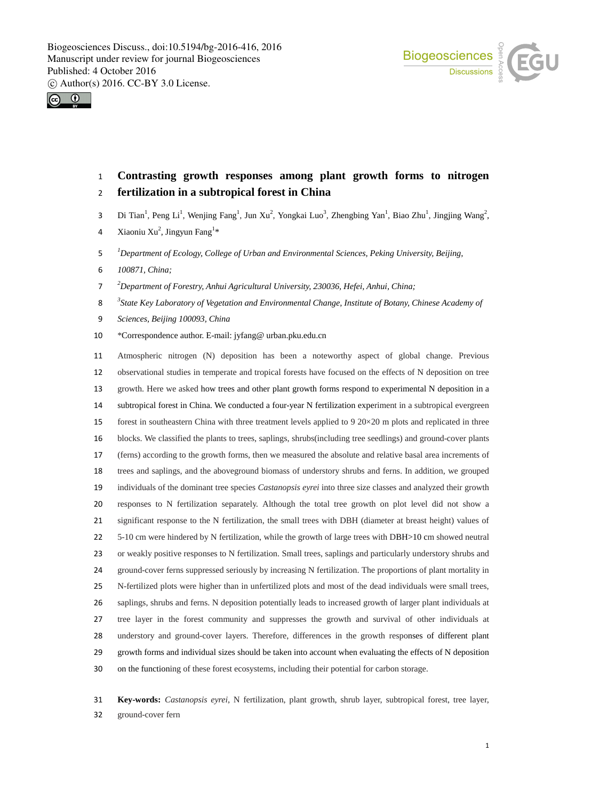Biogeosciences a COU



# **Contrasting growth responses among plant growth forms to nitrogen fertilization in a subtropical forest in China**

- 3 Di Tian<sup>1</sup>, Peng Li<sup>1</sup>, Wenjing Fang<sup>1</sup>, Jun Xu<sup>2</sup>, Yongkai Luo<sup>3</sup>, Zhengbing Yan<sup>1</sup>, Biao Zhu<sup>1</sup>, Jingjing Wang<sup>2</sup>,
- 4 Xiaoniu Xu<sup>2</sup>, Jingyun Fang<sup>1\*</sup>
- *1 Department of Ecology, College of Urban and Environmental Sciences, Peking University, Beijing,*
- *100871, China;*
- *2 Department of Forestry, Anhui Agricultural University, 230036, Hefei, Anhui, China;*
- *3 State Key Laboratory of Vegetation and Environmental Change, Institute of Botany, Chinese Academy of*
- *Sciences, Beijing 100093, China*
- \*Correspondence author. E-mail: jyfang@ urban.pku.edu.cn

 Atmospheric nitrogen (N) deposition has been a noteworthy aspect of global change. Previous observational studies in temperate and tropical forests have focused on the effects of N deposition on tree growth. Here we asked how trees and other plant growth forms respond to experimental N deposition in a subtropical forest in China. We conducted a four-year N fertilization experiment in a subtropical evergreen 15 forest in southeastern China with three treatment levels applied to  $9\ 20\times20$  m plots and replicated in three blocks. We classified the plants to trees, saplings, shrubs(including tree seedlings) and ground-cover plants (ferns) according to the growth forms, then we measured the absolute and relative basal area increments of trees and saplings, and the aboveground biomass of understory shrubs and ferns. In addition, we grouped individuals of the dominant tree species *Castanopsis eyrei* into three size classes and analyzed their growth responses to N fertilization separately. Although the total tree growth on plot level did not show a significant response to the N fertilization, the small trees with DBH (diameter at breast height) values of 5-10 cm were hindered by N fertilization, while the growth of large trees with DBH>10 cm showed neutral or weakly positive responses to N fertilization. Small trees, saplings and particularly understory shrubs and ground-cover ferns suppressed seriously by increasing N fertilization. The proportions of plant mortality in N-fertilized plots were higher than in unfertilized plots and most of the dead individuals were small trees, saplings, shrubs and ferns. N deposition potentially leads to increased growth of larger plant individuals at tree layer in the forest community and suppresses the growth and survival of other individuals at understory and ground-cover layers. Therefore, differences in the growth responses of different plant growth forms and individual sizes should be taken into account when evaluating the effects of N deposition on the functioning of these forest ecosystems, including their potential for carbon storage.

 **Key-words:** *Castanopsis eyrei*, N fertilization, plant growth, shrub layer, subtropical forest, tree layer, ground-cover fern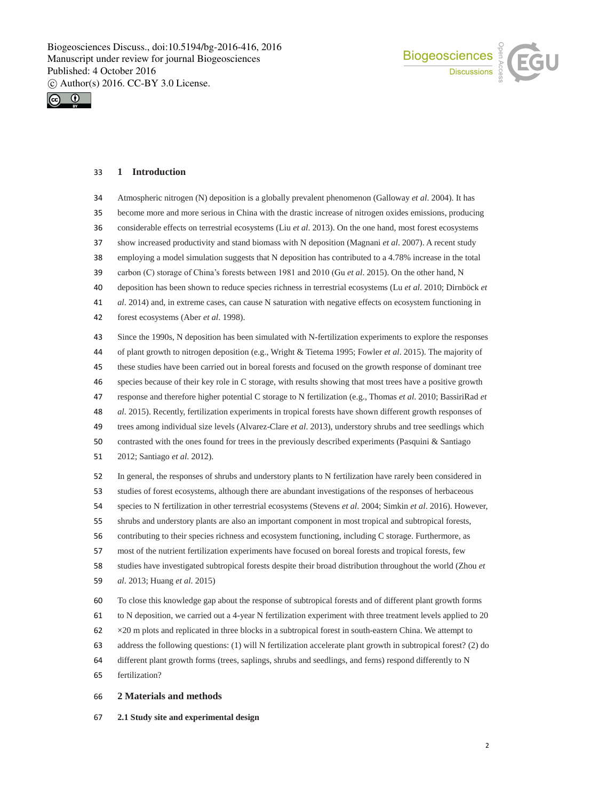



## **1 Introduction**

 Atmospheric nitrogen (N) deposition is a globally prevalent phenomenon (Galloway *et al*. 2004). It has become more and more serious in China with the drastic increase of nitrogen oxides emissions, producing considerable effects on terrestrial ecosystems (Liu *et al*. 2013). On the one hand, most forest ecosystems show increased productivity and stand biomass with N deposition (Magnani *et al*. 2007). A recent study employing a model simulation suggests that N deposition has contributed to a 4.78% increase in the total carbon (C) storage of China's forests between 1981 and 2010 (Gu *et al*. 2015). On the other hand, N deposition has been shown to reduce species richness in terrestrial ecosystems (Lu *et al*. 2010; Dirnböck *et al*. 2014) and, in extreme cases, can cause N saturation with negative effects on ecosystem functioning in forest ecosystems (Aber *et al*. 1998). Since the 1990s, N deposition has been simulated with N-fertilization experiments to explore the responses of plant growth to nitrogen deposition (e.g., Wright & Tietema 1995; Fowler *et al*. 2015). The majority of these studies have been carried out in boreal forests and focused on the growth response of dominant tree species because of their key role in C storage, with results showing that most trees have a positive growth response and therefore higher potential C storage to N fertilization (e.g., Thomas *et al*. 2010; BassiriRad *et al*. 2015). Recently, fertilization experiments in tropical forests have shown different growth responses of trees among individual size levels (Alvarez-Clare *et al*. 2013), understory shrubs and tree seedlings which contrasted with the ones found for trees in the previously described experiments (Pasquini & Santiago 2012; Santiago *et al*. 2012). In general, the responses of shrubs and understory plants to N fertilization have rarely been considered in studies of forest ecosystems, although there are abundant investigations of the responses of herbaceous species to N fertilization in other terrestrial ecosystems (Stevens *et al*. 2004; Simkin *et al*. 2016). However, shrubs and understory plants are also an important component in most tropical and subtropical forests, contributing to their species richness and ecosystem functioning, including C storage. Furthermore, as most of the nutrient fertilization experiments have focused on boreal forests and tropical forests, few studies have investigated subtropical forests despite their broad distribution throughout the world (Zhou *et al*. 2013; Huang *et al*. 2015) To close this knowledge gap about the response of subtropical forests and of different plant growth forms to N deposition, we carried out a 4-year N fertilization experiment with three treatment levels applied to 20 ×20 m plots and replicated in three blocks in a subtropical forest in south-eastern China. We attempt to address the following questions: (1) will N fertilization accelerate plant growth in subtropical forest? (2) do different plant growth forms (trees, saplings, shrubs and seedlings, and ferns) respond differently to N

fertilization?

## **2 Materials and methods**

**2.1 Study site and experimental design**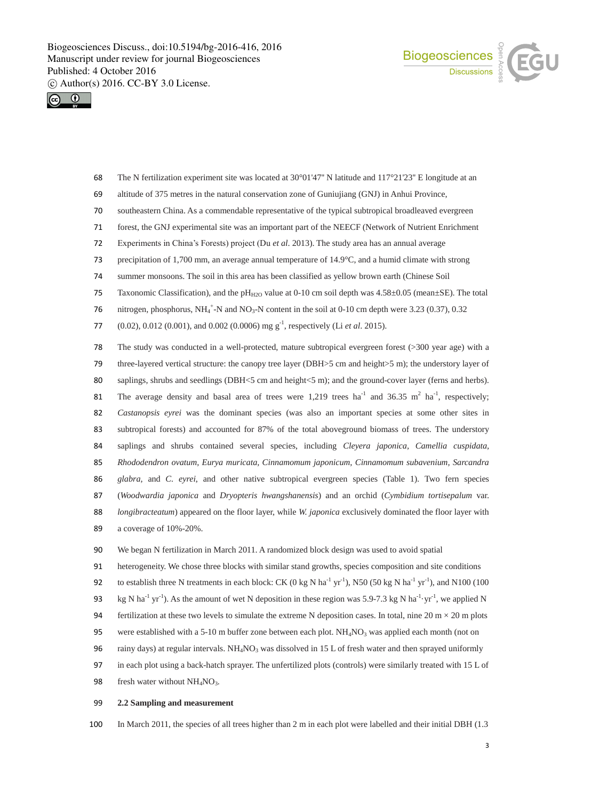



- 68 The N fertilization experiment site was located at 30°01'47'' N latitude and 117°21'23'' E longitude at an
- 69 altitude of 375 metres in the natural conservation zone of Guniujiang (GNJ) in Anhui Province,
- 70 southeastern China. As a commendable representative of the typical subtropical broadleaved evergreen
- 71 forest, the GNJ experimental site was an important part of the NEECF (Network of Nutrient Enrichment
- 72 Experiments in China's Forests) project (Du *et al*. 2013). The study area has an annual average
- 73 precipitation of 1,700 mm, an average annual temperature of 14.9°C, and a humid climate with strong
- 74 summer monsoons. The soil in this area has been classified as yellow brown earth (Chinese Soil
- 75 Taxonomic Classification), and the pH<sub>H2O</sub> value at 0-10 cm soil depth was  $4.58 \pm 0.05$  (mean $\pm$ SE). The total
- 76 nitrogen, phosphorus,  $NH_4^+$ -N and  $NO_3$ -N content in the soil at 0-10 cm depth were 3.23 (0.37), 0.32
- 77 (0.02), 0.012 (0.001), and 0.002 (0.0006) mg g<sup>-1</sup>, respectively (Li *et al.* 2015).

 The study was conducted in a well-protected, mature subtropical evergreen forest (>300 year age) with a 79 three-layered vertical structure: the canopy tree layer (DBH>5 cm and height>5 m); the understory layer of 80 saplings, shrubs and seedlings (DBH<5 cm and height<5 m); and the ground-cover layer (ferns and herbs). 81 The average density and basal area of trees were 1,219 trees  $ha^{-1}$  and 36.35 m<sup>2</sup>  $ha^{-1}$ , respectively; *Castanopsis eyrei* was the dominant species (was also an important species at some other sites in subtropical forests) and accounted for 87% of the total aboveground biomass of trees. The understory saplings and shrubs contained several species, including *Cleyera japonica, Camellia cuspidata, Rhododendron ovatum, Eurya muricata, Cinnamomum japonicum, Cinnamomum subavenium, Sarcandra glabra,* and *C. eyrei*, and other native subtropical evergreen species (Table 1). Two fern species (*Woodwardia japonica* and *Dryopteris hwangshanensis*) and an orchid (*Cymbidium tortisepalum* var. *longibracteatum*) appeared on the floor layer, while *W. japonica* exclusively dominated the floor layer with a coverage of 10%-20%.

- 90 We began N fertilization in March 2011. A randomized block design was used to avoid spatial
- 91 heterogeneity. We chose three blocks with similar stand growths, species composition and site conditions
- 92 to establish three N treatments in each block: CK (0 kg N ha<sup>-1</sup> yr<sup>-1</sup>), N50 (50 kg N ha<sup>-1</sup> yr<sup>-1</sup>), and N100 (100
- 93 kg N ha<sup>-1</sup> yr<sup>-1</sup>). As the amount of wet N deposition in these region was 5.9-7.3 kg N ha<sup>-1</sup> yr<sup>-1</sup>, we applied N
- 94 fertilization at these two levels to simulate the extreme N deposition cases. In total, nine 20 m  $\times$  20 m plots
- 95 were established with a 5-10 m buffer zone between each plot. NH<sub>4</sub>NO<sub>3</sub> was applied each month (not on
- 96 rainy days) at regular intervals. NH<sub>4</sub>NO<sub>3</sub> was dissolved in 15 L of fresh water and then sprayed uniformly
- 97 in each plot using a back-hatch sprayer. The unfertilized plots (controls) were similarly treated with 15 L of
- 98 fresh water without  $NH<sub>4</sub>NO<sub>3</sub>$ .

#### 99 **2.2 Sampling and measurement**

100 In March 2011, the species of all trees higher than 2 m in each plot were labelled and their initial DBH (1.3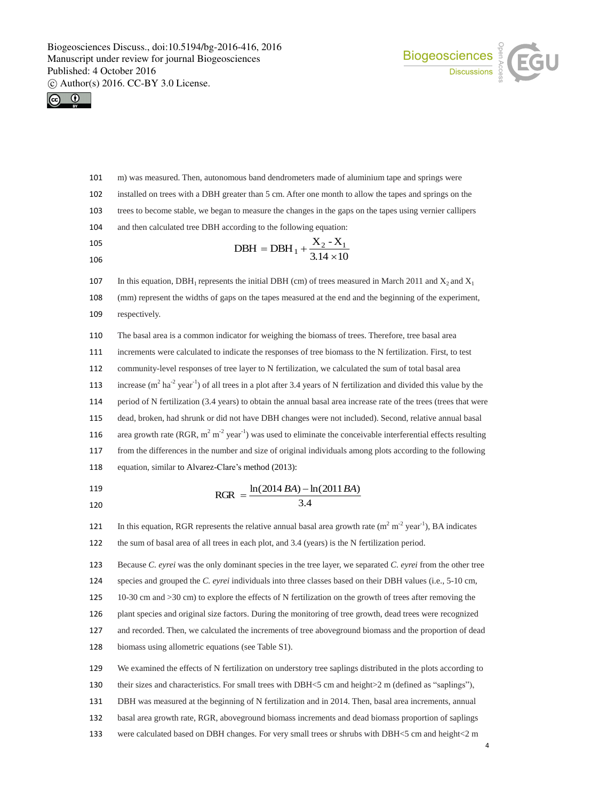



- m) was measured. Then, autonomous band dendrometers made of aluminium tape and springs were installed on trees with a DBH greater than 5 cm. After one month to allow the tapes and springs on the trees to become stable, we began to measure the changes in the gaps on the tapes using vernier callipers and then calculated tree DBH according to the following equation: 107 In this equation,  $DBH_1$  represents the initial DBH (cm) of trees measured in March 2011 and  $X_2$  and  $X_1$  $3.14 \times 10$  $DBH = DBH_1 + \frac{X_2 - X_1}{3.14 \times 10}$
- (mm) represent the widths of gaps on the tapes measured at the end and the beginning of the experiment,
- respectively.

 The basal area is a common indicator for weighing the biomass of trees. Therefore, tree basal area increments were calculated to indicate the responses of tree biomass to the N fertilization. First, to test community-level responses of tree layer to N fertilization, we calculated the sum of total basal area 113 increase  $(m^2 \text{ ha}^{-2} \text{ year}^{-1})$  of all trees in a plot after 3.4 years of N fertilization and divided this value by the period of N fertilization (3.4 years) to obtain the annual basal area increase rate of the trees (trees that were dead, broken, had shrunk or did not have DBH changes were not included). Second, relative annual basal 116 area growth rate (RGR,  $m^2 m^2$  year<sup>-1</sup>) was used to eliminate the conceivable interferential effects resulting from the differences in the number and size of original individuals among plots according to the following equation, similar to Alvarez-Clare's method (2013):

- 3.4  $RGR = \frac{\ln(2014 BA) - \ln(2011 BA)}{B$
- 121 In this equation, RGR represents the relative annual basal area growth rate  $(m^2 m^2 year^1)$ , BA indicates the sum of basal area of all trees in each plot, and 3.4 (years) is the N fertilization period.

 Because *C. eyrei* was the only dominant species in the tree layer, we separated *C. eyrei* from the other tree species and grouped the *C. eyrei* individuals into three classes based on their DBH values (i.e., 5-10 cm, 10-30 cm and >30 cm) to explore the effects of N fertilization on the growth of trees after removing the plant species and original size factors. During the monitoring of tree growth, dead trees were recognized

 and recorded. Then, we calculated the increments of tree aboveground biomass and the proportion of dead biomass using allometric equations (see Table S1).

 We examined the effects of N fertilization on understory tree saplings distributed in the plots according to 130 their sizes and characteristics. For small trees with DBH<5 cm and height>2 m (defined as "saplings"), DBH was measured at the beginning of N fertilization and in 2014. Then, basal area increments, annual basal area growth rate, RGR, aboveground biomass increments and dead biomass proportion of saplings

were calculated based on DBH changes. For very small trees or shrubs with DBH<5 cm and height<2 m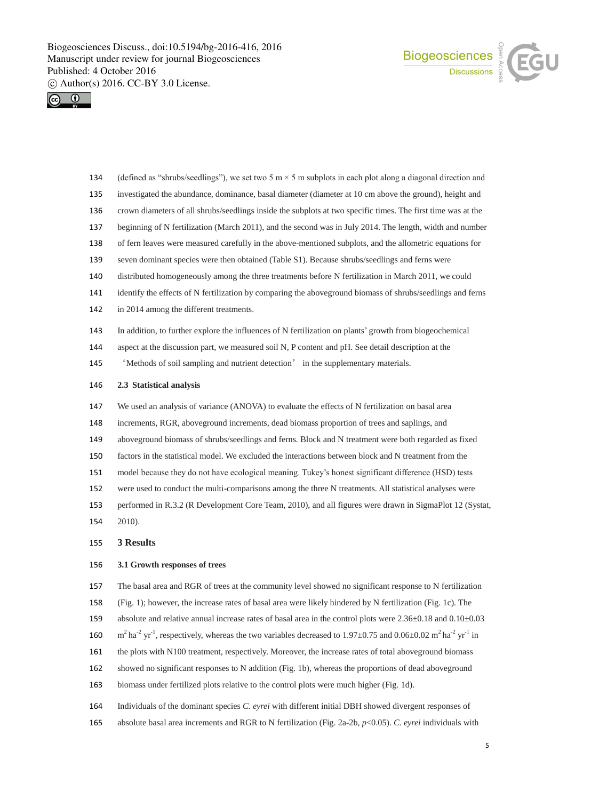



- 134 (defined as "shrubs/seedlings"), we set two 5 m  $\times$  5 m subplots in each plot along a diagonal direction and
- investigated the abundance, dominance, basal diameter (diameter at 10 cm above the ground), height and
- crown diameters of all shrubs/seedlings inside the subplots at two specific times. The first time was at the
- beginning of N fertilization (March 2011), and the second was in July 2014. The length, width and number
- of fern leaves were measured carefully in the above-mentioned subplots, and the allometric equations for
- seven dominant species were then obtained (Table S1). Because shrubs/seedlings and ferns were
- distributed homogeneously among the three treatments before N fertilization in March 2011, we could
- identify the effects of N fertilization by comparing the aboveground biomass of shrubs/seedlings and ferns
- 142 in 2014 among the different treatments.
- In addition, to further explore the influences of N fertilization on plants' growth from biogeochemical
- aspect at the discussion part, we measured soil N, P content and pH. See detail description at the
- 'Methods of soil sampling and nutrient detection' in the supplementary materials.

## **2.3 Statistical analysis**

- We used an analysis of variance (ANOVA) to evaluate the effects of N fertilization on basal area
- increments, RGR, aboveground increments, dead biomass proportion of trees and saplings, and
- aboveground biomass of shrubs/seedlings and ferns. Block and N treatment were both regarded as fixed
- factors in the statistical model. We excluded the interactions between block and N treatment from the
- model because they do not have ecological meaning. Tukey's honest significant difference (HSD) tests
- were used to conduct the multi-comparisons among the three N treatments. All statistical analyses were
- performed in R.3.2 (R Development Core Team, 2010), and all figures were drawn in SigmaPlot 12 (Systat,
- 2010).

## **3 Results**

#### **3.1 Growth responses of trees**

- The basal area and RGR of trees at the community level showed no significant response to N fertilization
- (Fig. 1); however, the increase rates of basal area were likely hindered by N fertilization (Fig. 1c). The
- 159 absolute and relative annual increase rates of basal area in the control plots were  $2.36\pm0.18$  and  $0.10\pm0.03$
- 160 m<sup>2</sup> ha<sup>-2</sup> yr<sup>-1</sup>, respectively, whereas the two variables decreased to 1.97 $\pm$ 0.75 and 0.06 $\pm$ 0.02 m<sup>2</sup> ha<sup>-2</sup> yr<sup>-1</sup> in
- the plots with N100 treatment, respectively. Moreover, the increase rates of total aboveground biomass
- showed no significant responses to N addition (Fig. 1b), whereas the proportions of dead aboveground
- biomass under fertilized plots relative to the control plots were much higher (Fig. 1d).
- Individuals of the dominant species *C. eyrei* with different initial DBH showed divergent responses of
- absolute basal area increments and RGR to N fertilization (Fig. 2a-2b, *p*<0.05). *C. eyrei* individuals with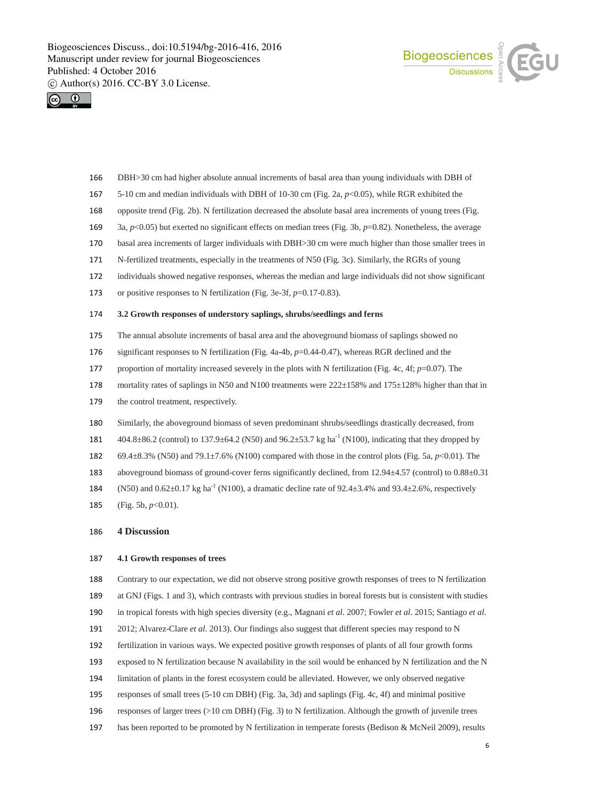



- DBH>30 cm had higher absolute annual increments of basal area than young individuals with DBH of
- 5-10 cm and median individuals with DBH of 10-30 cm (Fig. 2a, *p*<0.05), while RGR exhibited the
- opposite trend (Fig. 2b). N fertilization decreased the absolute basal area increments of young trees (Fig.
- 3a, *p*<0.05) but exerted no significant effects on median trees (Fig. 3b, *p*=0.82). Nonetheless, the average
- basal area increments of larger individuals with DBH>30 cm were much higher than those smaller trees in
- N-fertilized treatments, especially in the treatments of N50 (Fig. 3c). Similarly, the RGRs of young
- individuals showed negative responses, whereas the median and large individuals did not show significant
- or positive responses to N fertilization (Fig. 3e-3f, *p*=0.17-0.83).

### **3.2 Growth responses of understory saplings, shrubs/seedlings and ferns**

- The annual absolute increments of basal area and the aboveground biomass of saplings showed no
- significant responses to N fertilization (Fig. 4a-4b, *p*=0.44-0.47), whereas RGR declined and the
- proportion of mortality increased severely in the plots with N fertilization (Fig. 4c, 4f; *p*=0.07). The
- 178 mortality rates of saplings in N50 and N100 treatments were  $222 \pm 158\%$  and  $175 \pm 128\%$  higher than that in
- 179 the control treatment, respectively.
- Similarly, the aboveground biomass of seven predominant shrubs/seedlings drastically decreased, from
- 181  $404.8 \pm 86.2$  (control) to 137.9 ± 64.2 (N50) and 96.2 ± 53.7 kg ha<sup>-1</sup> (N100), indicating that they dropped by
- 69.4±8.3% (N50) and 79.1±7.6% (N100) compared with those in the control plots (Fig. 5a, *p*<0.01). The
- 183 aboveground biomass of ground-cover ferns significantly declined, from 12.94 $\pm$ 4.57 (control) to 0.88 $\pm$ 0.31
- 184 (N50) and  $0.62 \pm 0.17$  kg ha<sup>-1</sup> (N100), a dramatic decline rate of 92.4 $\pm$ 3.4% and 93.4 $\pm$ 2.6%, respectively
- (Fig. 5b, *p*<0.01).

## **4 Discussion**

#### **4.1 Growth responses of trees**

- Contrary to our expectation, we did not observe strong positive growth responses of trees to N fertilization at GNJ (Figs. 1 and 3), which contrasts with previous studies in boreal forests but is consistent with studies in tropical forests with high species diversity (e.g., Magnani *et al*. 2007; Fowler *et al*. 2015; Santiago *et al*.
- 2012; Alvarez-Clare *et al*. 2013). Our findings also suggest that different species may respond to N
- fertilization in various ways. We expected positive growth responses of plants of all four growth forms
- exposed to N fertilization because N availability in the soil would be enhanced by N fertilization and the N
- limitation of plants in the forest ecosystem could be alleviated. However, we only observed negative
- responses of small trees (5-10 cm DBH) (Fig. 3a, 3d) and saplings (Fig. 4c, 4f) and minimal positive
- responses of larger trees (>10 cm DBH) (Fig. 3) to N fertilization. Although the growth of juvenile trees
- has been reported to be promoted by N fertilization in temperate forests (Bedison & McNeil 2009), results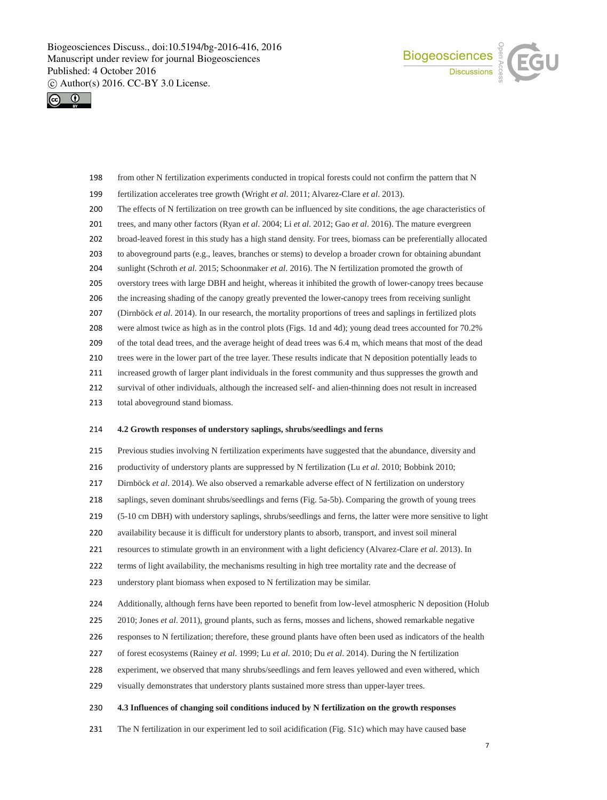



- from other N fertilization experiments conducted in tropical forests could not confirm the pattern that N
- fertilization accelerates tree growth (Wright *et al*. 2011; Alvarez-Clare *et al*. 2013).
- The effects of N fertilization on tree growth can be influenced by site conditions, the age characteristics of
- trees, and many other factors (Ryan *et al*. 2004; Li *et al*. 2012; Gao *et al*. 2016). The mature evergreen
- broad-leaved forest in this study has a high stand density. For trees, biomass can be preferentially allocated
- to aboveground parts (e.g., leaves, branches or stems) to develop a broader crown for obtaining abundant
- sunlight (Schroth *et al*. 2015; Schoonmaker *et al*. 2016). The N fertilization promoted the growth of
- overstory trees with large DBH and height, whereas it inhibited the growth of lower-canopy trees because
- the increasing shading of the canopy greatly prevented the lower-canopy trees from receiving sunlight
- (Dirnböck *et al*. 2014). In our research, the mortality proportions of trees and saplings in fertilized plots
- were almost twice as high as in the control plots (Figs. 1d and 4d); young dead trees accounted for 70.2%
- of the total dead trees, and the average height of dead trees was 6.4 m, which means that most of the dead trees were in the lower part of the tree layer. These results indicate that N deposition potentially leads to
- increased growth of larger plant individuals in the forest community and thus suppresses the growth and
- survival of other individuals, although the increased self- and alien-thinning does not result in increased
- total aboveground stand biomass.

#### **4.2 Growth responses of understory saplings, shrubs/seedlings and ferns**

Previous studies involving N fertilization experiments have suggested that the abundance, diversity and

- productivity of understory plants are suppressed by N fertilization (Lu *et al*. 2010; Bobbink 2010;
- Dirnböck *et al*. 2014). We also observed a remarkable adverse effect of N fertilization on understory
- saplings, seven dominant shrubs/seedlings and ferns (Fig. 5a-5b). Comparing the growth of young trees
- (5-10 cm DBH) with understory saplings, shrubs/seedlings and ferns, the latter were more sensitive to light
- availability because it is difficult for understory plants to absorb, transport, and invest soil mineral
- resources to stimulate growth in an environment with a light deficiency (Alvarez-Clare *et al*. 2013). In
- terms of light availability, the mechanisms resulting in high tree mortality rate and the decrease of
- understory plant biomass when exposed to N fertilization may be similar.
- Additionally, although ferns have been reported to benefit from low-level atmospheric N deposition (Holub
- 225 2010; Jones *et al.* 2011), ground plants, such as ferns, mosses and lichens, showed remarkable negative
- responses to N fertilization; therefore, these ground plants have often been used as indicators of the health
- of forest ecosystems (Rainey *et al*. 1999; Lu *et al*. 2010; Du *et al*. 2014). During the N fertilization
- experiment, we observed that many shrubs/seedlings and fern leaves yellowed and even withered, which
- visually demonstrates that understory plants sustained more stress than upper-layer trees.

#### **4.3 Influences of changing soil conditions induced by N fertilization on the growth responses**

The N fertilization in our experiment led to soil acidification (Fig. S1c) which may have caused base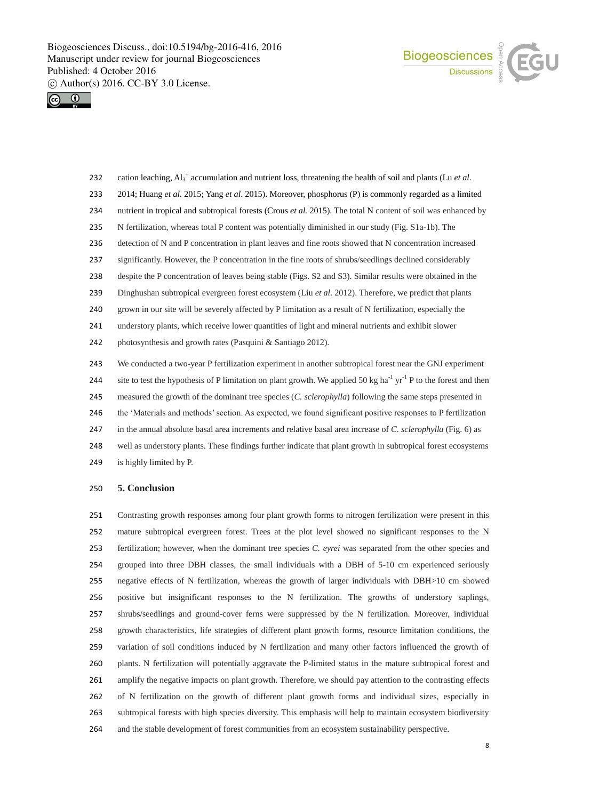



- 232 cation leaching,  $Al_3^+$  accumulation and nutrient loss, threatening the health of soil and plants (Lu *et al.*)
- 2014; Huang *et al*. 2015; Yang *et al*. 2015). Moreover, phosphorus (P) is commonly regarded as a limited
- nutrient in tropical and subtropical forests (Crous *et al.* 2015). The total N content of soil was enhanced by
- N fertilization, whereas total P content was potentially diminished in our study (Fig. S1a-1b). The
- 236 detection of N and P concentration in plant leaves and fine roots showed that N concentration increased
- significantly. However, the P concentration in the fine roots of shrubs/seedlings declined considerably
- despite the P concentration of leaves being stable (Figs. S2 and S3). Similar results were obtained in the
- Dinghushan subtropical evergreen forest ecosystem (Liu *et al*. 2012). Therefore, we predict that plants
- grown in our site will be severely affected by P limitation as a result of N fertilization, especially the
- understory plants, which receive lower quantities of light and mineral nutrients and exhibit slower
- photosynthesis and growth rates (Pasquini & Santiago 2012).
- We conducted a two-year P fertilization experiment in another subtropical forest near the GNJ experiment 244 site to test the hypothesis of P limitation on plant growth. We applied 50 kg ha<sup>-1</sup> yr<sup>-1</sup> P to the forest and then measured the growth of the dominant tree species (*C. sclerophylla*) following the same steps presented in 246 the 'Materials and methods' section. As expected, we found significant positive responses to P fertilization in the annual absolute basal area increments and relative basal area increase of *C. sclerophylla* (Fig. 6) as well as understory plants. These findings further indicate that plant growth in subtropical forest ecosystems is highly limited by P.

#### **5. Conclusion**

 Contrasting growth responses among four plant growth forms to nitrogen fertilization were present in this mature subtropical evergreen forest. Trees at the plot level showed no significant responses to the N fertilization; however, when the dominant tree species *C. eyrei* was separated from the other species and grouped into three DBH classes, the small individuals with a DBH of 5-10 cm experienced seriously negative effects of N fertilization, whereas the growth of larger individuals with DBH>10 cm showed positive but insignificant responses to the N fertilization. The growths of understory saplings, shrubs/seedlings and ground-cover ferns were suppressed by the N fertilization. Moreover, individual growth characteristics, life strategies of different plant growth forms, resource limitation conditions, the variation of soil conditions induced by N fertilization and many other factors influenced the growth of plants. N fertilization will potentially aggravate the P-limited status in the mature subtropical forest and amplify the negative impacts on plant growth. Therefore, we should pay attention to the contrasting effects of N fertilization on the growth of different plant growth forms and individual sizes, especially in subtropical forests with high species diversity. This emphasis will help to maintain ecosystem biodiversity and the stable development of forest communities from an ecosystem sustainability perspective.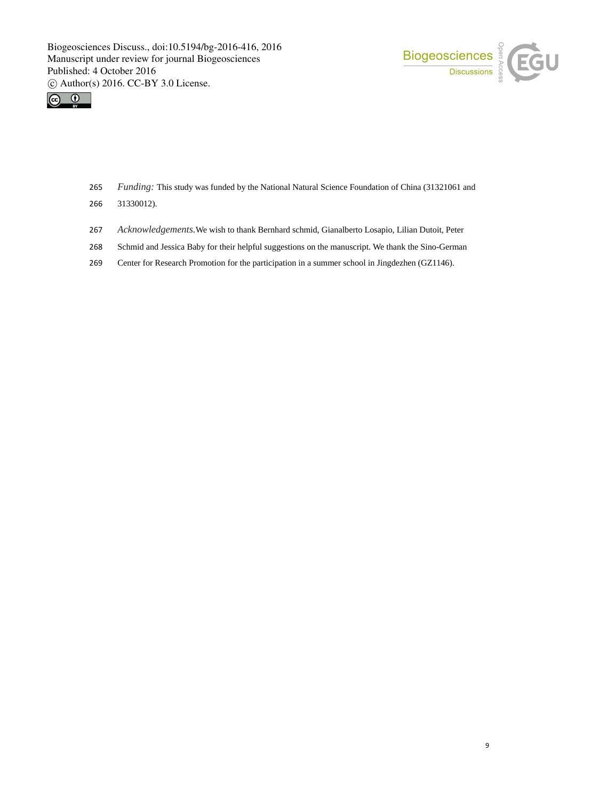



- 265 *Funding:* This study was funded by the National Natural Science Foundation of China (31321061 and
- 266 31330012).
- 267 *Acknowledgements.*We wish to thank Bernhard schmid, Gianalberto Losapio, Lilian Dutoit, Peter
- 268 Schmid and Jessica Baby for their helpful suggestions on the manuscript. We thank the Sino-German
- 269 Center for Research Promotion for the participation in a summer school in Jingdezhen (GZ1146).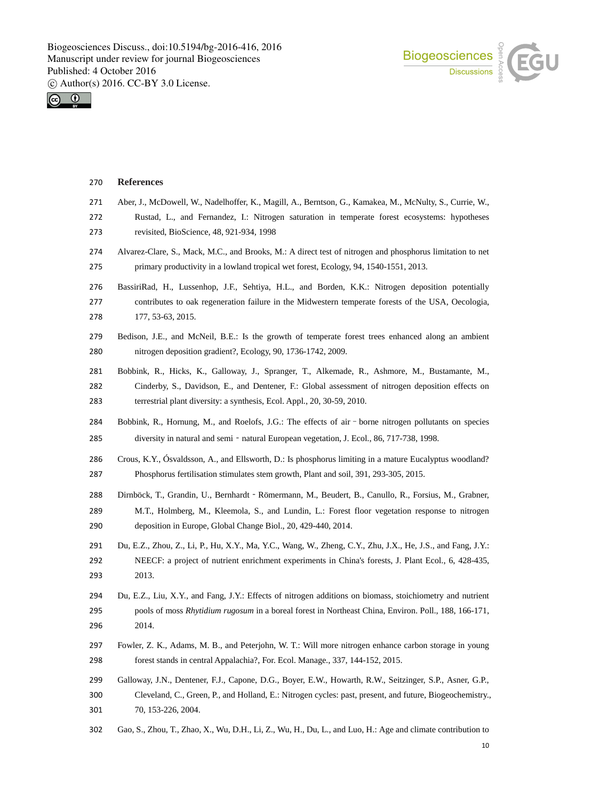



### **References**

- Aber, J., McDowell, W., Nadelhoffer, K., Magill, A., Berntson, G., Kamakea, M., McNulty, S., Currie, W.,
- Rustad, L., and Fernandez, I.: Nitrogen saturation in temperate forest ecosystems: hypotheses revisited, BioScience, 48, 921-934, 1998
- Alvarez-Clare, S., Mack, M.C., and Brooks, M.: A direct test of nitrogen and phosphorus limitation to net primary productivity in a lowland tropical wet forest, Ecology, 94, 1540-1551, 2013.
- BassiriRad, H., Lussenhop, J.F., Sehtiya, H.L., and Borden, K.K.: Nitrogen deposition potentially contributes to oak regeneration failure in the Midwestern temperate forests of the USA, Oecologia, 177, 53-63, 2015.
- Bedison, J.E., and McNeil, B.E.: Is the growth of temperate forest trees enhanced along an ambient nitrogen deposition gradient?, Ecology, 90, 1736-1742, 2009.
- Bobbink, R., Hicks, K., Galloway, J., Spranger, T., Alkemade, R., Ashmore, M., Bustamante, M., Cinderby, S., Davidson, E., and Dentener, F.: Global assessment of nitrogen deposition effects on terrestrial plant diversity: a synthesis, Ecol. Appl., 20, 30-59, 2010.
- Bobbink, R., Hornung, M., and Roelofs, J.G.: The effects of air–borne nitrogen pollutants on species diversity in natural and semi‐natural European vegetation, J. Ecol., 86, 717-738, 1998.
- Crous, K.Y., Ósvaldsson, A., and Ellsworth, D.: Is phosphorus limiting in a mature Eucalyptus woodland? Phosphorus fertilisation stimulates stem growth, Plant and soil, 391, 293-305, 2015.
- Dirnböck, T., Grandin, U., Bernhardt‐Römermann, M., Beudert, B., Canullo, R., Forsius, M., Grabner, M.T., Holmberg, M., Kleemola, S., and Lundin, L.: Forest floor vegetation response to nitrogen deposition in Europe, Global Change Biol., 20, 429-440, 2014.
- Du, E.Z., Zhou, Z., Li, P., Hu, X.Y., Ma, Y.C., Wang, W., Zheng, C.Y., Zhu, J.X., He, J.S., and Fang, J.Y.: NEECF: a project of nutrient enrichment experiments in China's forests, J. Plant Ecol., 6, 428-435, 2013.
- Du, E.Z., Liu, X.Y., and Fang, J.Y.: Effects of nitrogen additions on biomass, stoichiometry and nutrient pools of moss *Rhytidium rugosum* in a boreal forest in Northeast China, Environ. Poll., 188, 166-171, 2014.
- Fowler, Z. K., Adams, M. B., and Peterjohn, W. T.: Will more nitrogen enhance carbon storage in young forest stands in central Appalachia?, For. Ecol. Manage., 337, 144-152, 2015.
- Galloway, J.N., Dentener, F.J., Capone, D.G., Boyer, E.W., Howarth, R.W., Seitzinger, S.P., Asner, G.P., Cleveland, C., Green, P., and Holland, E.: Nitrogen cycles: past, present, and future, Biogeochemistry., 70, 153-226, 2004.
- Gao, S., Zhou, T., Zhao, X., Wu, D.H., Li, Z., Wu, H., Du, L., and Luo, H.: Age and climate contribution to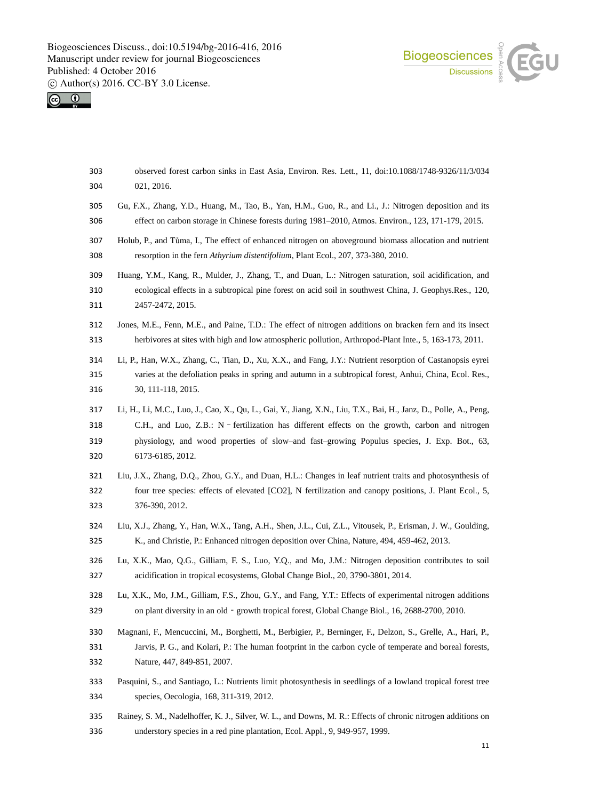Biogeosciences and COU



- observed forest carbon sinks in East Asia, Environ. Res. Lett., 11, doi:10.1088/1748-9326/11/3/034 021, 2016.
- Gu, F.X., Zhang, Y.D., Huang, M., Tao, B., Yan, H.M., Guo, R., and Li., J.: Nitrogen deposition and its effect on carbon storage in Chinese forests during 1981–2010, Atmos. Environ., 123, 171-179, 2015.
- Holub, P., and Tůma, I., The effect of enhanced nitrogen on aboveground biomass allocation and nutrient resorption in the fern *Athyrium distentifolium*, Plant Ecol., 207, 373-380, 2010.
- Huang, Y.M., Kang, R., Mulder, J., Zhang, T., and Duan, L.: Nitrogen saturation, soil acidification, and ecological effects in a subtropical pine forest on acid soil in southwest China, J. Geophys.Res., 120, 2457-2472, 2015.
- Jones, M.E., Fenn, M.E., and Paine, T.D.: The effect of nitrogen additions on bracken fern and its insect herbivores at sites with high and low atmospheric pollution, Arthropod-Plant Inte., 5, 163-173, 2011.
- Li, P., Han, W.X., Zhang, C., Tian, D., Xu, X.X., and Fang, J.Y.: Nutrient resorption of Castanopsis eyrei varies at the defoliation peaks in spring and autumn in a subtropical forest, Anhui, China, Ecol. Res., 30, 111-118, 2015.
- Li, H., Li, M.C., Luo, J., Cao, X., Qu, L., Gai, Y., Jiang, X.N., Liu, T.X., Bai, H., Janz, D., Polle, A., Peng, C.H., and Luo, Z.B.: N–fertilization has different effects on the growth, carbon and nitrogen physiology, and wood properties of slow–and fast–growing Populus species, J. Exp. Bot., 63, 6173-6185, 2012.
- Liu, J.X., Zhang, D.Q., Zhou, G.Y., and Duan, H.L.: Changes in leaf nutrient traits and photosynthesis of four tree species: effects of elevated [CO2], N fertilization and canopy positions, J. Plant Ecol., 5, 376-390, 2012.
- Liu, X.J., Zhang, Y., Han, W.X., Tang, A.H., Shen, J.L., Cui, Z.L., Vitousek, P., Erisman, J. W., Goulding, K., and Christie, P.: Enhanced nitrogen deposition over China, Nature, 494, 459-462, 2013.
- Lu, X.K., Mao, Q.G., Gilliam, F. S., Luo, Y.Q., and Mo, J.M.: Nitrogen deposition contributes to soil acidification in tropical ecosystems, Global Change Biol., 20, 3790-3801, 2014.
- Lu, X.K., Mo, J.M., Gilliam, F.S., Zhou, G.Y., and Fang, Y.T.: Effects of experimental nitrogen additions 329 on plant diversity in an old - growth tropical forest, Global Change Biol., 16, 2688-2700, 2010.
- Magnani, F., Mencuccini, M., Borghetti, M., Berbigier, P., Berninger, F., Delzon, S., Grelle, A., Hari, P., Jarvis, P. G., and Kolari, P.: The human footprint in the carbon cycle of temperate and boreal forests, Nature, 447, 849-851, 2007.
- Pasquini, S., and Santiago, L.: Nutrients limit photosynthesis in seedlings of a lowland tropical forest tree species, Oecologia, 168, 311-319, 2012.
- Rainey, S. M., Nadelhoffer, K. J., Silver, W. L., and Downs, M. R.: Effects of chronic nitrogen additions on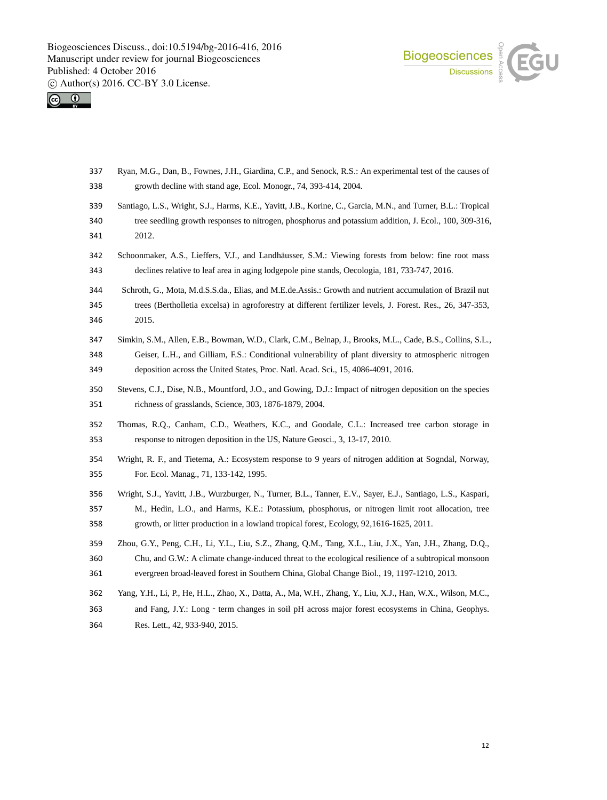Biogeosciences and COU



 Ryan, M.G., Dan, B., Fownes, J.H., Giardina, C.P., and Senock, R.S.: An experimental test of the causes of growth decline with stand age, Ecol. Monogr., 74, 393-414, 2004. Santiago, L.S., Wright, S.J., Harms, K.E., Yavitt, J.B., Korine, C., Garcia, M.N., and Turner, B.L.: Tropical tree seedling growth responses to nitrogen, phosphorus and potassium addition, J. Ecol., 100, 309-316, 2012. Schoonmaker, A.S., Lieffers, V.J., and Landhäusser, S.M.: Viewing forests from below: fine root mass declines relative to leaf area in aging lodgepole pine stands, Oecologia, 181, 733-747, 2016. Schroth, G., Mota, M.d.S.S.da., Elias, and M.E.de.Assis.: Growth and nutrient accumulation of Brazil nut trees (Bertholletia excelsa) in agroforestry at different fertilizer levels, J. Forest. Res., 26, 347-353, 2015. Simkin, S.M., Allen, E.B., Bowman, W.D., Clark, C.M., Belnap, J., Brooks, M.L., Cade, B.S., Collins, S.L., Geiser, L.H., and Gilliam, F.S.: Conditional vulnerability of plant diversity to atmospheric nitrogen deposition across the United States, Proc. Natl. Acad. Sci., 15, 4086-4091, 2016. Stevens, C.J., Dise, N.B., Mountford, J.O., and Gowing, D.J.: Impact of nitrogen deposition on the species richness of grasslands, Science, 303, 1876-1879, 2004. Thomas, R.Q., Canham, C.D., Weathers, K.C., and Goodale, C.L.: Increased tree carbon storage in response to nitrogen deposition in the US, Nature Geosci., 3, 13-17, 2010. Wright, R. F., and Tietema, A.: Ecosystem response to 9 years of nitrogen addition at Sogndal, Norway, For. Ecol. Manag., 71, 133-142, 1995. Wright, S.J., Yavitt, J.B., Wurzburger, N., Turner, B.L., Tanner, E.V., Sayer, E.J., Santiago, L.S., Kaspari, M., Hedin, L.O., and Harms, K.E.: Potassium, phosphorus, or nitrogen limit root allocation, tree growth, or litter production in a lowland tropical forest, Ecology, 92,1616-1625, 2011. Zhou, G.Y., Peng, C.H., Li, Y.L., Liu, S.Z., Zhang, Q.M., Tang, X.L., Liu, J.X., Yan, J.H., Zhang, D.Q., Chu, and G.W.: A climate change-induced threat to the ecological resilience of a subtropical monsoon evergreen broad-leaved forest in Southern China, Global Change Biol., 19, 1197-1210, 2013. Yang, Y.H., Li, P., He, H.L., Zhao, X., Datta, A., Ma, W.H., Zhang, Y., Liu, X.J., Han, W.X., Wilson, M.C., 363 and Fang, J.Y.: Long - term changes in soil pH across major forest ecosystems in China, Geophys. Res. Lett., 42, 933-940, 2015.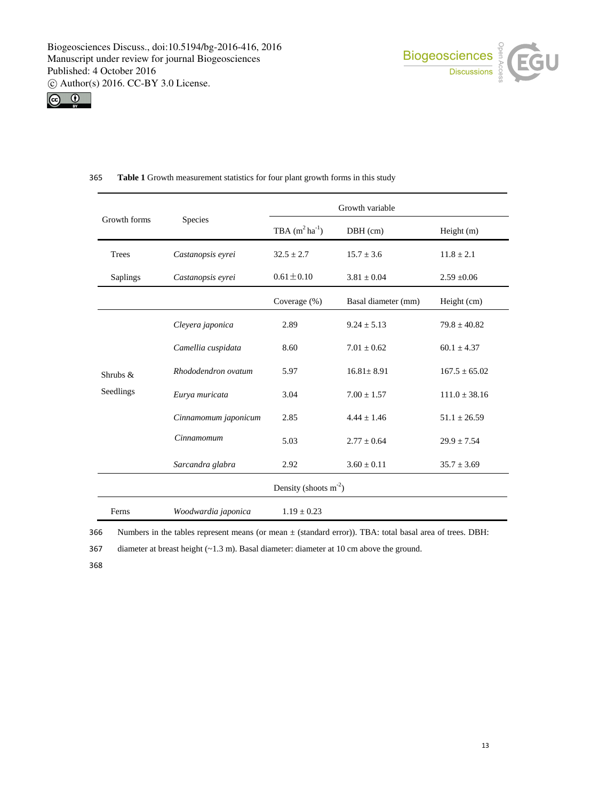



| Growth forms             | Species              | Growth variable         |                     |                   |
|--------------------------|----------------------|-------------------------|---------------------|-------------------|
|                          |                      | TBA $(m^2 ha^{-1})$     | $DBH$ (cm)          | Height $(m)$      |
| <b>Trees</b>             | Castanopsis eyrei    | $32.5 \pm 2.7$          | $15.7 \pm 3.6$      | $11.8 \pm 2.1$    |
| <b>Saplings</b>          | Castanopsis eyrei    | $0.61 \pm 0.10$         | $3.81 \pm 0.04$     | $2.59 + 0.06$     |
|                          |                      | Coverage (%)            | Basal diameter (mm) | Height (cm)       |
| Shrubs $\&$<br>Seedlings | Cleyera japonica     | 2.89                    | $9.24 \pm 5.13$     | $79.8 \pm 40.82$  |
|                          | Camellia cuspidata   | 8.60                    | $7.01 \pm 0.62$     | $60.1 \pm 4.37$   |
|                          | Rhododendron ovatum  | 5.97                    | $16.81 + 8.91$      | $167.5 \pm 65.02$ |
|                          | Eurya muricata       | 3.04                    | $7.00 \pm 1.57$     | $111.0 \pm 38.16$ |
|                          | Cinnamomum japonicum | 2.85                    | $4.44 + 1.46$       | $51.1 \pm 26.59$  |
|                          | Cinnamomum           | 5.03                    | $2.77 \pm 0.64$     | $29.9 \pm 7.54$   |
|                          | Sarcandra glabra     | 2.92                    | $3.60 \pm 0.11$     | $35.7 \pm 3.69$   |
|                          |                      | Density (shoots $m-2$ ) |                     |                   |
| Ferns                    | Woodwardia japonica  | $1.19 \pm 0.23$         |                     |                   |

# 365 **Table 1** Growth measurement statistics for four plant growth forms in this study

366 Numbers in the tables represent means (or mean ± (standard error)). TBA: total basal area of trees. DBH:

367 diameter at breast height (~1.3 m). Basal diameter: diameter at 10 cm above the ground.

368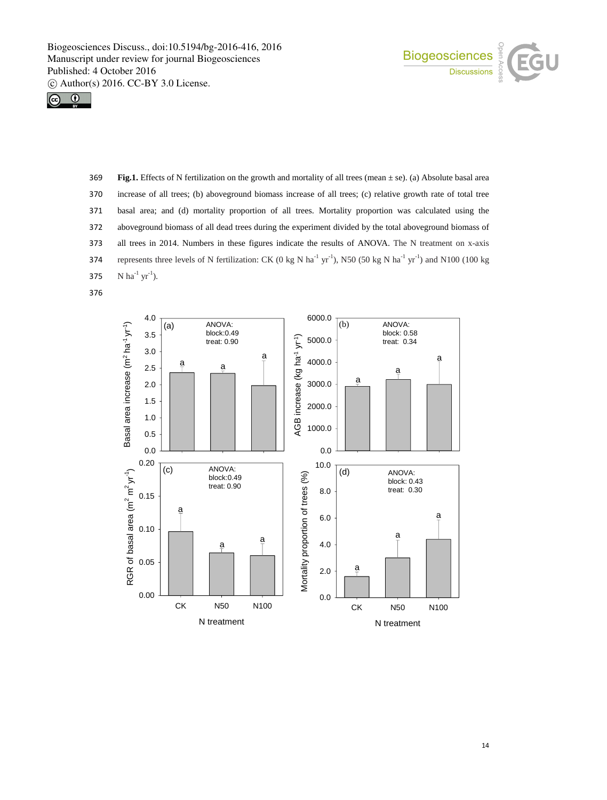



 **Fig.1.** Effects of N fertilization on the growth and mortality of all trees (mean ± se). (a) Absolute basal area increase of all trees; (b) aboveground biomass increase of all trees; (c) relative growth rate of total tree basal area; and (d) mortality proportion of all trees. Mortality proportion was calculated using the aboveground biomass of all dead trees during the experiment divided by the total aboveground biomass of all trees in 2014. Numbers in these figures indicate the results of ANOVA. The N treatment on x-axis 374 represents three levels of N fertilization: CK (0 kg N ha<sup>-1</sup> yr<sup>-1</sup>), N50 (50 kg N ha<sup>-1</sup> yr<sup>-1</sup>) and N100 (100 kg  $\text{N} \text{ ha}^{-1} \text{ yr}^{-1}$ ).

376

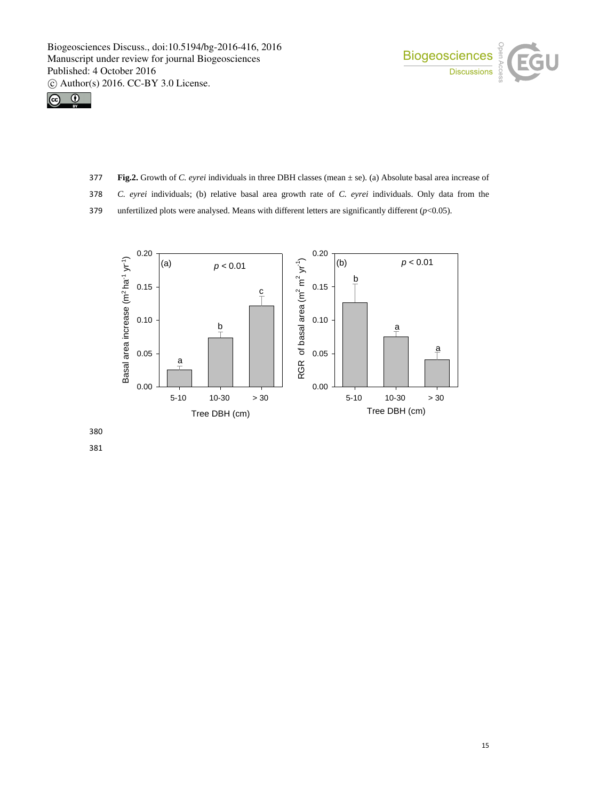



- 377 **Fig.2.** Growth of *C. eyrei* individuals in three DBH classes (mean ± se). (a) Absolute basal area increase of
- 378 *C. eyrei* individuals; (b) relative basal area growth rate of *C. eyrei* individuals. Only data from the
- 379 unfertilized plots were analysed. Means with different letters are significantly different ( $p$ <0.05).



380

381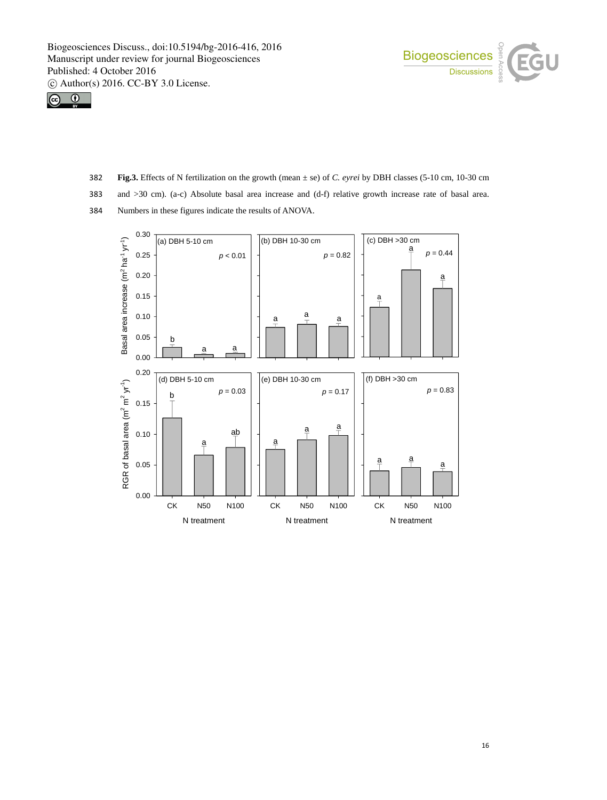



- 382 **Fig.3.** Effects of N fertilization on the growth (mean ± se) of *C. eyrei* by DBH classes (5-10 cm, 10-30 cm
- 383 and >30 cm). (a-c) Absolute basal area increase and (d-f) relative growth increase rate of basal area.
- 384 Numbers in these figures indicate the results of ANOVA.

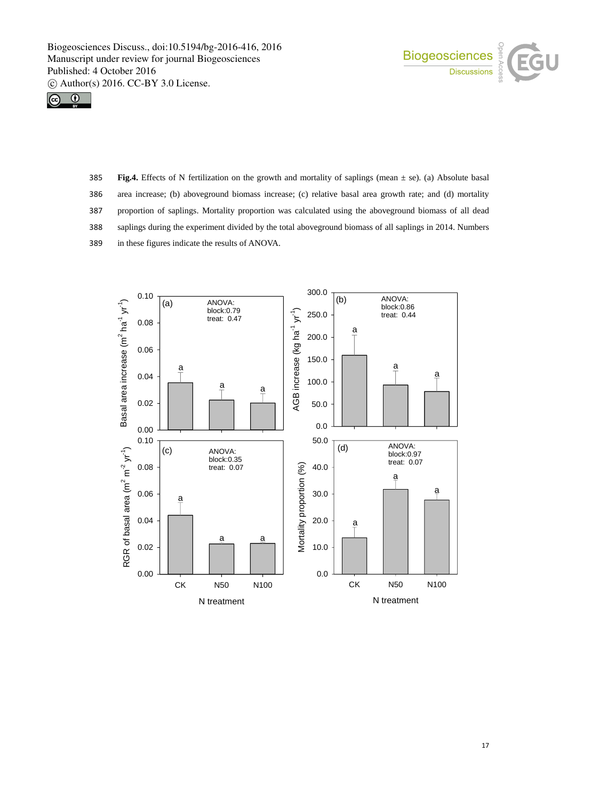



 **Fig.4.** Effects of N fertilization on the growth and mortality of saplings (mean ± se). (a) Absolute basal area increase; (b) aboveground biomass increase; (c) relative basal area growth rate; and (d) mortality proportion of saplings. Mortality proportion was calculated using the aboveground biomass of all dead saplings during the experiment divided by the total aboveground biomass of all saplings in 2014. Numbers in these figures indicate the results of ANOVA.

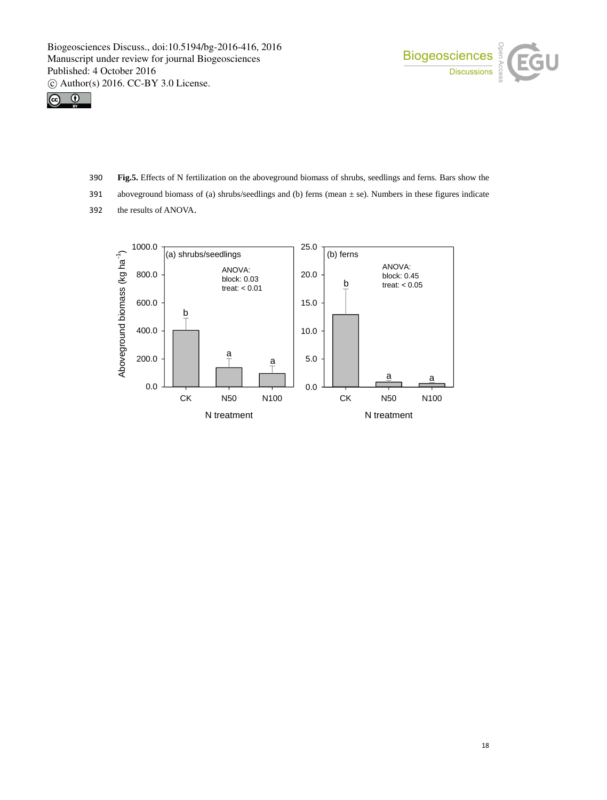



- 390 **Fig.5.** Effects of N fertilization on the aboveground biomass of shrubs, seedlings and ferns. Bars show the
- 391 aboveground biomass of (a) shrubs/seedlings and (b) ferns (mean  $\pm$  se). Numbers in these figures indicate
- 392 the results of ANOVA.